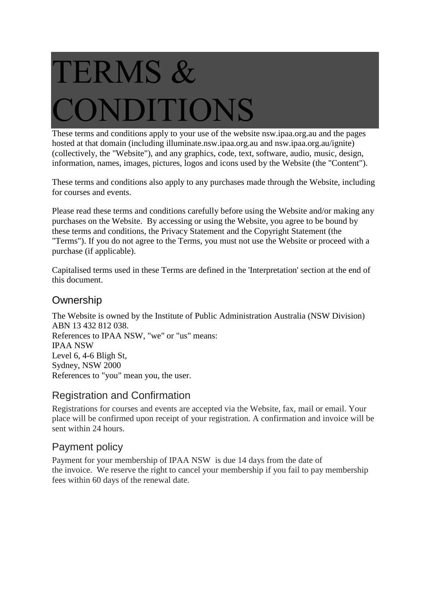# TERMS & DITIONS

These terms and conditions apply to your use of the website nsw.ipaa.org.au and the pages hosted at that domain (including illuminate.nsw.ipaa.org.au and nsw.ipaa.org.au/ignite) (collectively, the "Website"), and any graphics, code, text, software, audio, music, design, information, names, images, pictures, logos and icons used by the Website (the "Content").

These terms and conditions also apply to any purchases made through the Website, including for courses and events.

Please read these terms and conditions carefully before using the Website and/or making any purchases on the Website. By accessing or using the Website, you agree to be bound by these terms and conditions, the Privacy Statement and the Copyright Statement (the "Terms"). If you do not agree to the Terms, you must not use the Website or proceed with a purchase (if applicable).

Capitalised terms used in these Terms are defined in the 'Interpretation' section at the end of this document.

## **Ownership**

The Website is owned by the Institute of Public Administration Australia (NSW Division) ABN 13 432 812 038. References to IPAA NSW, "we" or "us" means: IPAA NSW Level 6, 4-6 Bligh St, Sydney, NSW 2000 References to "you" mean you, the user.

## Registration and Confirmation

Registrations for courses and events are accepted via the Website, fax, mail or email. Your place will be confirmed upon receipt of your registration. A confirmation and invoice will be sent within 24 hours.

# Payment policy

Payment for your membership of IPAA NSW is due 14 days from the date of the invoice. We reserve the right to cancel your membership if you fail to pay membership fees within 60 days of the renewal date.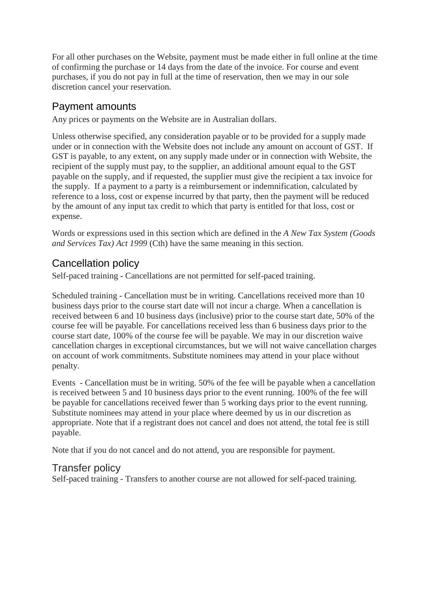For all other purchases on the Website, payment must be made either in full online at the time of confirming the purchase or 14 days from the date of the invoice. For course and event purchases, if you do not pay in full at the time of reservation, then we may in our sole discretion cancel your reservation.

## Payment amounts

Any prices or payments on the Website are in Australian dollars.

Unless otherwise specified, any consideration payable or to be provided for a supply made under or in connection with the Website does not include any amount on account of GST. If GST is payable, to any extent, on any supply made under or in connection with Website, the recipient of the supply must pay, to the supplier, an additional amount equal to the GST payable on the supply, and if requested, the supplier must give the recipient a tax invoice for the supply. If a payment to a party is a reimbursement or indemnification, calculated by reference to a loss, cost or expense incurred by that party, then the payment will be reduced by the amount of any input tax credit to which that party is entitled for that loss, cost or expense.

Words or expressions used in this section which are defined in the *A New Tax System (Goods and Services Tax) Act 1999* (Cth) have the same meaning in this section.

# Cancellation policy

Self-paced training **-** Cancellations are not permitted for self-paced training.

Scheduled training - Cancellation must be in writing. Cancellations received more than 10 business days prior to the course start date will not incur a charge. When a cancellation is received between 6 and 10 business days (inclusive) prior to the course start date, 50% of the course fee will be payable. For cancellations received less than 6 business days prior to the course start date, 100% of the course fee will be payable. We may in our discretion waive cancellation charges in exceptional circumstances, but we will not waive cancellation charges on account of work commitments. Substitute nominees may attend in your place without penalty.

Events - Cancellation must be in writing. 50% of the fee will be payable when a cancellation is received between 5 and 10 business days prior to the event running. 100% of the fee will be payable for cancellations received fewer than 5 working days prior to the event running. Substitute nominees may attend in your place where deemed by us in our discretion as appropriate. Note that if a registrant does not cancel and does not attend, the total fee is still payable.

Note that if you do not cancel and do not attend, you are responsible for payment.

## Transfer policy

Self-paced training - Transfers to another course are not allowed for self-paced training.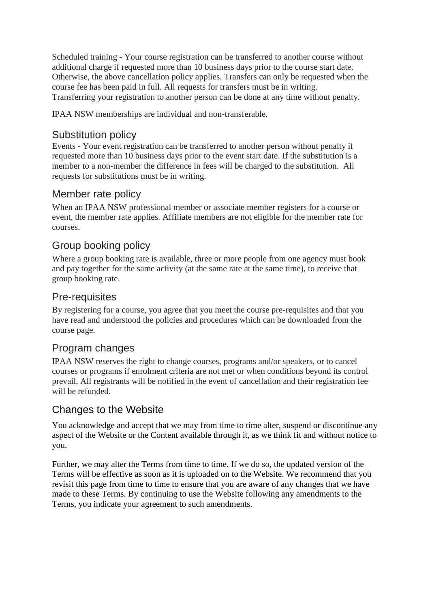Scheduled training - Your course registration can be transferred to another course without additional charge if requested more than 10 business days prior to the course start date. Otherwise, the above cancellation policy applies. Transfers can only be requested when the course fee has been paid in full. All requests for transfers must be in writing. Transferring your registration to another person can be done at any time without penalty.

IPAA NSW memberships are individual and non-transferable.

#### Substitution policy

Events - Your event registration can be transferred to another person without penalty if requested more than 10 business days prior to the event start date. If the substitution is a member to a non-member the difference in fees will be charged to the substitution. All requests for substitutions must be in writing.

## Member rate policy

When an IPAA NSW professional member or associate member registers for a course or event, the member rate applies. Affiliate members are not eligible for the member rate for courses.

## Group booking policy

Where a group booking rate is available, three or more people from one agency must book and pay together for the same activity (at the same rate at the same time), to receive that group booking rate.

## Pre-requisites

By registering for a course, you agree that you meet the course pre-requisites and that you have read and understood the policies and procedures which can be downloaded from the course page.

## Program changes

IPAA NSW reserves the right to change courses, programs and/or speakers, or to cancel courses or programs if enrolment criteria are not met or when conditions beyond its control prevail. All registrants will be notified in the event of cancellation and their registration fee will be refunded.

## Changes to the Website

You acknowledge and accept that we may from time to time alter, suspend or discontinue any aspect of the Website or the Content available through it, as we think fit and without notice to you.

Further, we may alter the Terms from time to time. If we do so, the updated version of the Terms will be effective as soon as it is uploaded on to the Website. We recommend that you revisit this page from time to time to ensure that you are aware of any changes that we have made to these Terms. By continuing to use the Website following any amendments to the Terms, you indicate your agreement to such amendments.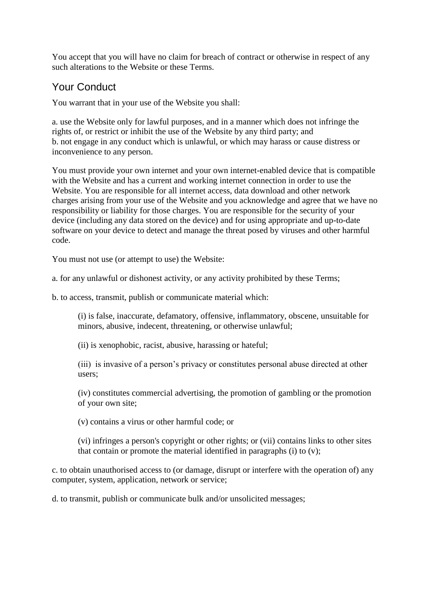You accept that you will have no claim for breach of contract or otherwise in respect of any such alterations to the Website or these Terms.

## Your Conduct

You warrant that in your use of the Website you shall:

a. use the Website only for lawful purposes, and in a manner which does not infringe the rights of, or restrict or inhibit the use of the Website by any third party; and b. not engage in any conduct which is unlawful, or which may harass or cause distress or inconvenience to any person.

You must provide your own internet and your own internet-enabled device that is compatible with the Website and has a current and working internet connection in order to use the Website. You are responsible for all internet access, data download and other network charges arising from your use of the Website and you acknowledge and agree that we have no responsibility or liability for those charges. You are responsible for the security of your device (including any data stored on the device) and for using appropriate and up-to-date software on your device to detect and manage the threat posed by viruses and other harmful code.

You must not use (or attempt to use) the Website:

a. for any unlawful or dishonest activity, or any activity prohibited by these Terms;

b. to access, transmit, publish or communicate material which:

(i) is false, inaccurate, defamatory, offensive, inflammatory, obscene, unsuitable for minors, abusive, indecent, threatening, or otherwise unlawful;

(ii) is xenophobic, racist, abusive, harassing or hateful;

(iii) is invasive of a person's privacy or constitutes personal abuse directed at other users;

(iv) constitutes commercial advertising, the promotion of gambling or the promotion of your own site;

(v) contains a virus or other harmful code; or

(vi) infringes a person's copyright or other rights; or (vii) contains links to other sites that contain or promote the material identified in paragraphs (i) to (v);

c. to obtain unauthorised access to (or damage, disrupt or interfere with the operation of) any computer, system, application, network or service;

d. to transmit, publish or communicate bulk and/or unsolicited messages;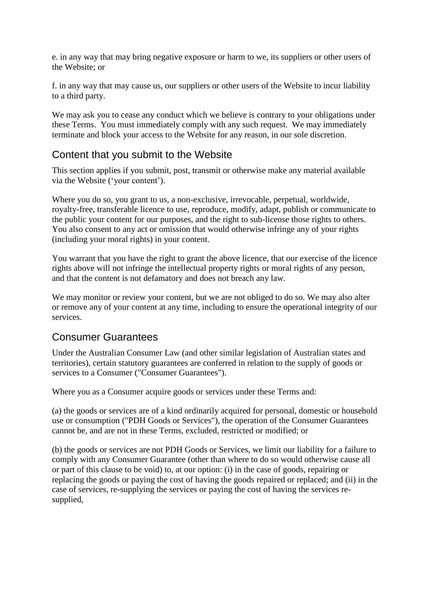e. in any way that may bring negative exposure or harm to we, its suppliers or other users of the Website; or

f. in any way that may cause us, our suppliers or other users of the Website to incur liability to a third party.

We may ask you to cease any conduct which we believe is contrary to your obligations under these Terms. You must immediately comply with any such request. We may immediately terminate and block your access to the Website for any reason, in our sole discretion.

#### Content that you submit to the Website

This section applies if you submit, post, transmit or otherwise make any material available via the Website ('your content').

Where you do so, you grant to us, a non-exclusive, irrevocable, perpetual, worldwide, royalty-free, transferable licence to use, reproduce, modify, adapt, publish or communicate to the public your content for our purposes, and the right to sub-license those rights to others. You also consent to any act or omission that would otherwise infringe any of your rights (including your moral rights) in your content.

You warrant that you have the right to grant the above licence, that our exercise of the licence rights above will not infringe the intellectual property rights or moral rights of any person, and that the content is not defamatory and does not breach any law.

We may monitor or review your content, but we are not obliged to do so. We may also alter or remove any of your content at any time, including to ensure the operational integrity of our services.

#### Consumer Guarantees

Under the Australian Consumer Law (and other similar legislation of Australian states and territories), certain statutory guarantees are conferred in relation to the supply of goods or services to a Consumer ("Consumer Guarantees").

Where you as a Consumer acquire goods or services under these Terms and:

(a) the goods or services are of a kind ordinarily acquired for personal, domestic or household use or consumption ("PDH Goods or Services"), the operation of the Consumer Guarantees cannot be, and are not in these Terms, excluded, restricted or modified; or

(b) the goods or services are not PDH Goods or Services, we limit our liability for a failure to comply with any Consumer Guarantee (other than where to do so would otherwise cause all or part of this clause to be void) to, at our option: (i) in the case of goods, repairing or replacing the goods or paying the cost of having the goods repaired or replaced; and (ii) in the case of services, re-supplying the services or paying the cost of having the services resupplied,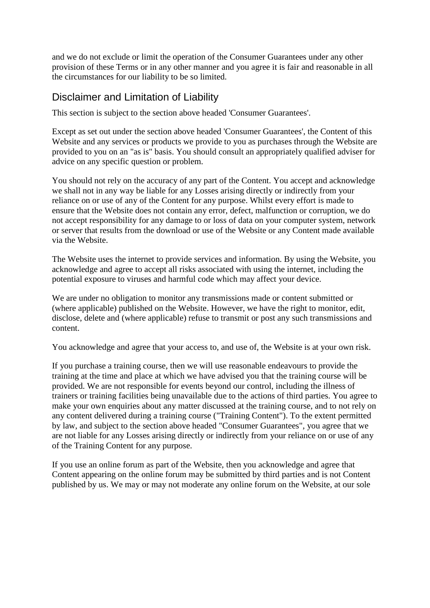and we do not exclude or limit the operation of the Consumer Guarantees under any other provision of these Terms or in any other manner and you agree it is fair and reasonable in all the circumstances for our liability to be so limited.

#### Disclaimer and Limitation of Liability

This section is subject to the section above headed 'Consumer Guarantees'.

Except as set out under the section above headed 'Consumer Guarantees', the Content of this Website and any services or products we provide to you as purchases through the Website are provided to you on an "as is" basis. You should consult an appropriately qualified adviser for advice on any specific question or problem.

You should not rely on the accuracy of any part of the Content. You accept and acknowledge we shall not in any way be liable for any Losses arising directly or indirectly from your reliance on or use of any of the Content for any purpose. Whilst every effort is made to ensure that the Website does not contain any error, defect, malfunction or corruption, we do not accept responsibility for any damage to or loss of data on your computer system, network or server that results from the download or use of the Website or any Content made available via the Website.

The Website uses the internet to provide services and information. By using the Website, you acknowledge and agree to accept all risks associated with using the internet, including the potential exposure to viruses and harmful code which may affect your device.

We are under no obligation to monitor any transmissions made or content submitted or (where applicable) published on the Website. However, we have the right to monitor, edit, disclose, delete and (where applicable) refuse to transmit or post any such transmissions and content.

You acknowledge and agree that your access to, and use of, the Website is at your own risk.

If you purchase a training course, then we will use reasonable endeavours to provide the training at the time and place at which we have advised you that the training course will be provided. We are not responsible for events beyond our control, including the illness of trainers or training facilities being unavailable due to the actions of third parties. You agree to make your own enquiries about any matter discussed at the training course, and to not rely on any content delivered during a training course ("Training Content"). To the extent permitted by law, and subject to the section above headed "Consumer Guarantees", you agree that we are not liable for any Losses arising directly or indirectly from your reliance on or use of any of the Training Content for any purpose.

If you use an online forum as part of the Website, then you acknowledge and agree that Content appearing on the online forum may be submitted by third parties and is not Content published by us. We may or may not moderate any online forum on the Website, at our sole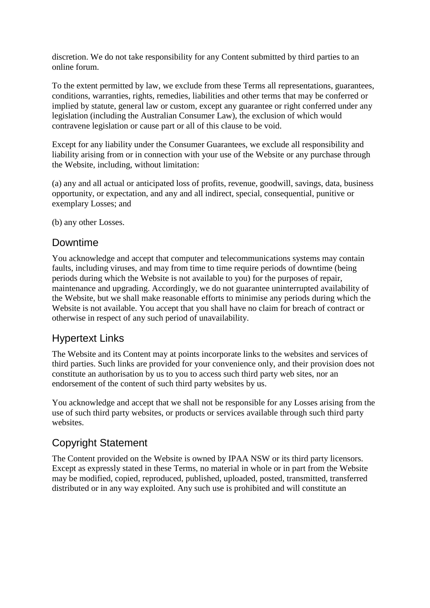discretion. We do not take responsibility for any Content submitted by third parties to an online forum.

To the extent permitted by law, we exclude from these Terms all representations, guarantees, conditions, warranties, rights, remedies, liabilities and other terms that may be conferred or implied by statute, general law or custom, except any guarantee or right conferred under any legislation (including the Australian Consumer Law), the exclusion of which would contravene legislation or cause part or all of this clause to be void.

Except for any liability under the Consumer Guarantees, we exclude all responsibility and liability arising from or in connection with your use of the Website or any purchase through the Website, including, without limitation:

(a) any and all actual or anticipated loss of profits, revenue, goodwill, savings, data, business opportunity, or expectation, and any and all indirect, special, consequential, punitive or exemplary Losses; and

(b) any other Losses.

#### Downtime

You acknowledge and accept that computer and telecommunications systems may contain faults, including viruses, and may from time to time require periods of downtime (being periods during which the Website is not available to you) for the purposes of repair, maintenance and upgrading. Accordingly, we do not guarantee uninterrupted availability of the Website, but we shall make reasonable efforts to minimise any periods during which the Website is not available. You accept that you shall have no claim for breach of contract or otherwise in respect of any such period of unavailability.

## Hypertext Links

The Website and its Content may at points incorporate links to the websites and services of third parties. Such links are provided for your convenience only, and their provision does not constitute an authorisation by us to you to access such third party web sites, nor an endorsement of the content of such third party websites by us.

You acknowledge and accept that we shall not be responsible for any Losses arising from the use of such third party websites, or products or services available through such third party websites.

## Copyright Statement

The Content provided on the Website is owned by IPAA NSW or its third party licensors. Except as expressly stated in these Terms, no material in whole or in part from the Website may be modified, copied, reproduced, published, uploaded, posted, transmitted, transferred distributed or in any way exploited. Any such use is prohibited and will constitute an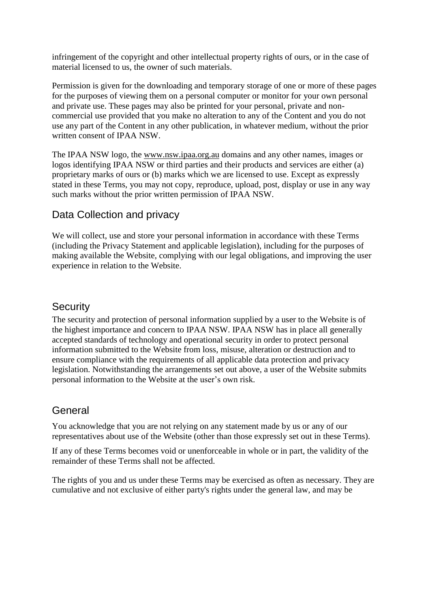infringement of the copyright and other intellectual property rights of ours, or in the case of material licensed to us, the owner of such materials.

Permission is given for the downloading and temporary storage of one or more of these pages for the purposes of viewing them on a personal computer or monitor for your own personal and private use. These pages may also be printed for your personal, private and noncommercial use provided that you make no alteration to any of the Content and you do not use any part of the Content in any other publication, in whatever medium, without the prior written consent of IPAA NSW.

The IPAA NSW logo, the www.nsw.ipaa.org.au domains and any other names, images or logos identifying IPAA NSW or third parties and their products and services are either (a) proprietary marks of ours or (b) marks which we are licensed to use. Except as expressly stated in these Terms, you may not copy, reproduce, upload, post, display or use in any way such marks without the prior written permission of IPAA NSW.

#### Data Collection and privacy

We will collect, use and store your personal information in accordance with these Terms (including the Privacy Statement and applicable legislation), including for the purposes of making available the Website, complying with our legal obligations, and improving the user experience in relation to the Website.

#### **Security**

The security and protection of personal information supplied by a user to the Website is of the highest importance and concern to IPAA NSW. IPAA NSW has in place all generally accepted standards of technology and operational security in order to protect personal information submitted to the Website from loss, misuse, alteration or destruction and to ensure compliance with the requirements of all applicable data protection and privacy legislation. Notwithstanding the arrangements set out above, a user of the Website submits personal information to the Website at the user's own risk.

## General

You acknowledge that you are not relying on any statement made by us or any of our representatives about use of the Website (other than those expressly set out in these Terms).

If any of these Terms becomes void or unenforceable in whole or in part, the validity of the remainder of these Terms shall not be affected.

The rights of you and us under these Terms may be exercised as often as necessary. They are cumulative and not exclusive of either party's rights under the general law, and may be